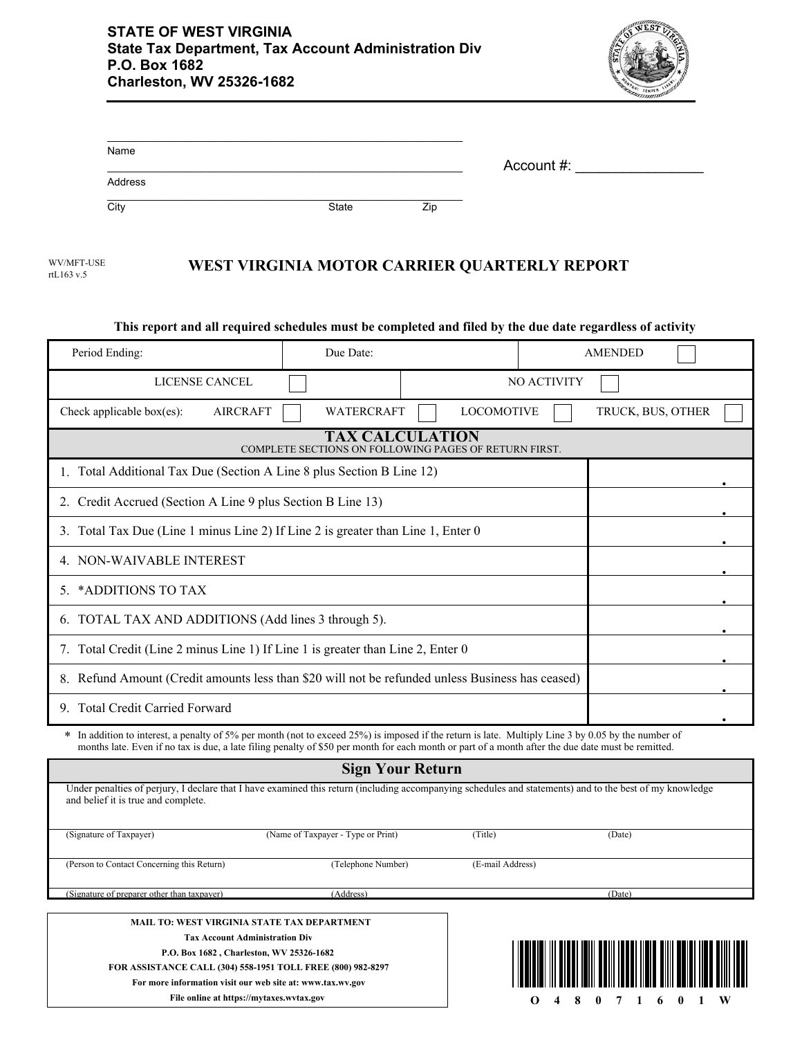

| Name                     |                                              | Account #: |  |
|--------------------------|----------------------------------------------|------------|--|
| Address                  |                                              |            |  |
| City                     | Zip<br>State                                 |            |  |
| WV/MFT-USE<br>rtL163 v.5 | WEST VIRGINIA MOTOR CARRIER QUARTERLY REPORT |            |  |

| This report and all required schedules must be completed and filed by the due date regardless of activity                                                                                                                                                                                                 |                                                             |                   |                |                   |  |  |
|-----------------------------------------------------------------------------------------------------------------------------------------------------------------------------------------------------------------------------------------------------------------------------------------------------------|-------------------------------------------------------------|-------------------|----------------|-------------------|--|--|
| Period Ending:                                                                                                                                                                                                                                                                                            | Due Date:                                                   |                   | <b>AMENDED</b> |                   |  |  |
| <b>LICENSE CANCEL</b>                                                                                                                                                                                                                                                                                     |                                                             |                   | NO ACTIVITY    |                   |  |  |
| Check applicable box(es):<br><b>AIRCRAFT</b>                                                                                                                                                                                                                                                              | <b>WATERCRAFT</b>                                           | <b>LOCOMOTIVE</b> |                | TRUCK, BUS, OTHER |  |  |
| <b>TAX CALCULATION</b><br>COMPLETE SECTIONS ON FOLLOWING PAGES OF RETURN FIRST.                                                                                                                                                                                                                           |                                                             |                   |                |                   |  |  |
| 1. Total Additional Tax Due (Section A Line 8 plus Section B Line 12)                                                                                                                                                                                                                                     |                                                             |                   |                |                   |  |  |
|                                                                                                                                                                                                                                                                                                           | 2. Credit Accrued (Section A Line 9 plus Section B Line 13) |                   |                |                   |  |  |
| 3. Total Tax Due (Line 1 minus Line 2) If Line 2 is greater than Line 1, Enter 0                                                                                                                                                                                                                          |                                                             |                   |                |                   |  |  |
| 4. NON-WAIVABLE INTEREST                                                                                                                                                                                                                                                                                  |                                                             |                   |                |                   |  |  |
| 5. *ADDITIONS TO TAX                                                                                                                                                                                                                                                                                      |                                                             |                   |                |                   |  |  |
| 6. TOTAL TAX AND ADDITIONS (Add lines 3 through 5).                                                                                                                                                                                                                                                       |                                                             |                   |                |                   |  |  |
| 7. Total Credit (Line 2 minus Line 1) If Line 1 is greater than Line 2, Enter 0                                                                                                                                                                                                                           |                                                             |                   |                |                   |  |  |
| 8. Refund Amount (Credit amounts less than \$20 will not be refunded unless Business has ceased)                                                                                                                                                                                                          |                                                             |                   |                |                   |  |  |
| 9. Total Credit Carried Forward                                                                                                                                                                                                                                                                           |                                                             |                   |                |                   |  |  |
| * In addition to interest, a penalty of 5% per month (not to exceed 25%) is imposed if the return is late. Multiply Line 3 by 0.05 by the number of<br>months late. Even if no tax is due, a late filing penalty of \$50 per month for each month or part of a month after the due date must be remitted. |                                                             |                   |                |                   |  |  |
| <b>Sign Your Return</b>                                                                                                                                                                                                                                                                                   |                                                             |                   |                |                   |  |  |
| Under penalties of perjury, I declare that I have examined this return (including accompanying schedules and statements) and to the best of my knowledge<br>and belief it is true and complete.                                                                                                           |                                                             |                   |                |                   |  |  |
| (Signature of Taxpayer)                                                                                                                                                                                                                                                                                   | (Name of Taxpayer - Type or Print)                          | (Title)           | (Date)         |                   |  |  |
| (Person to Contact Concerning this Return)                                                                                                                                                                                                                                                                | (Telephone Number)                                          | (E-mail Address)  |                |                   |  |  |
| (Signature of preparer other than taxpayer)                                                                                                                                                                                                                                                               | (Address)                                                   |                   | (Date)         |                   |  |  |
|                                                                                                                                                                                                                                                                                                           |                                                             |                   |                |                   |  |  |

**MAIL TO: WEST VIRGINIA STATE TAX DEPARTMENT Tax Account Administration Div P.O. Box 1682 , Charleston, WV 25326-1682 FOR ASSISTANCE CALL (304) 558-1951 TOLL FREE (800) 982-8297 For more information visit our web site at: www.tax.wv.gov**